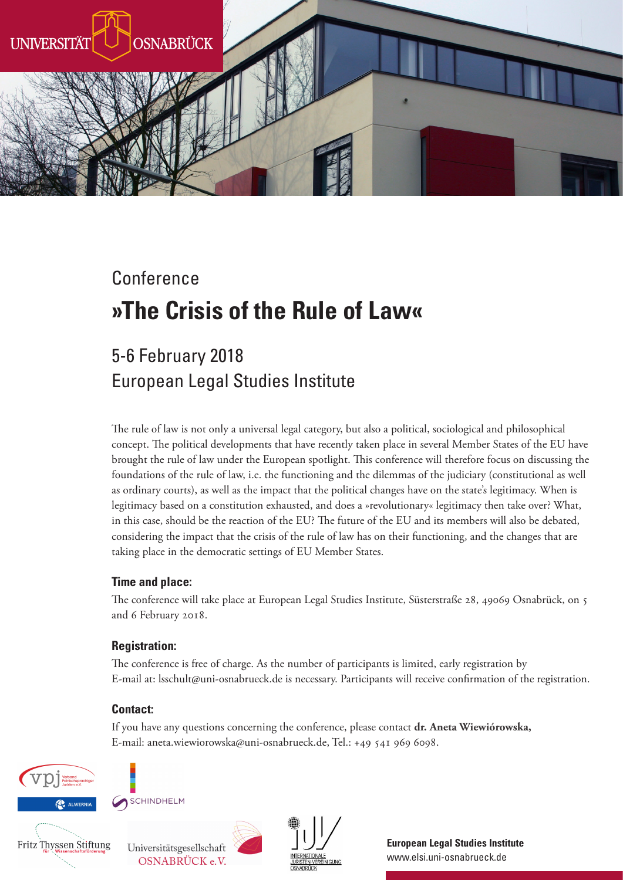

# Conference **»The Crisis of the Rule of Law«**

# 5-6 February 2018 European Legal Studies Institute

The rule of law is not only a universal legal category, but also a political, sociological and philosophical concept. The political developments that have recently taken place in several Member States of the EU have brought the rule of law under the European spotlight. Tis conference will therefore focus on discussing the foundations of the rule of law, i.e. the functioning and the dilemmas of the judiciary (constitutional as well as ordinary courts), as well as the impact that the political changes have on the state's legitimacy. When is legitimacy based on a constitution exhausted, and does a »revolutionary« legitimacy then take over? What, in this case, should be the reaction of the EU? The future of the EU and its members will also be debated, considering the impact that the crisis of the rule of law has on their functioning, and the changes that are taking place in the democratic settings of EU Member States.

#### **Time and place:**

The conference will take place at European Legal Studies Institute, Süsterstraße 28, 49069 Osnabrück, on 5 and 6 February 2018.

#### **Registration:**

The conference is free of charge. As the number of participants is limited, early registration by E-mail at: lsschult@uni-osnabrueck.de is necessary. Participants will receive confirmation of the registration.

#### **Contact:**

If you have any questions concerning the conference, please contact **dr. Aneta Wiewiórowska,**  E-mail: aneta.wiewiorowska@uni-osnabrueck.de, Tel.: +49 541 969 6098.





Fritz Thyssen Stiftung





**European Legal Studies Institute** www.elsi.uni-osnabrueck.de